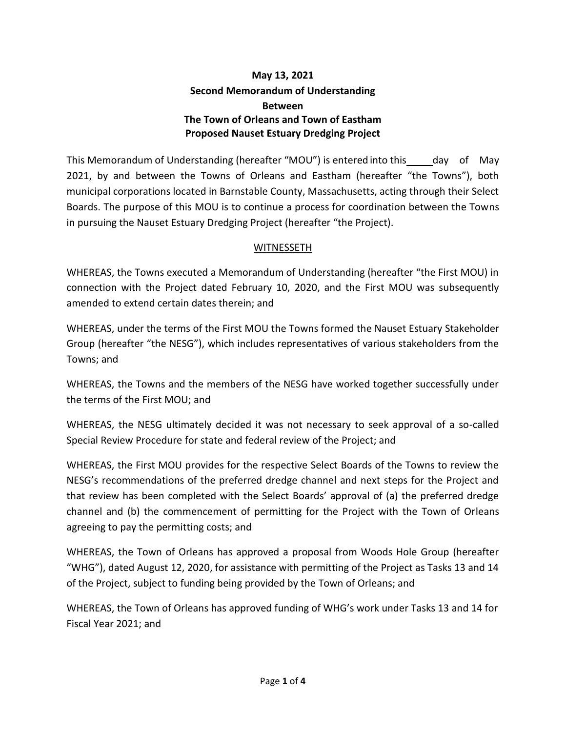## **May 13, 2021 Second Memorandum of Understanding Between The Town of Orleans and Town of Eastham Proposed Nauset Estuary Dredging Project**

This Memorandum of Understanding (hereafter "MOU") is entered into this day of May 2021, by and between the Towns of Orleans and Eastham (hereafter "the Towns"), both municipal corporations located in Barnstable County, Massachusetts, acting through their Select Boards. The purpose of this MOU is to continue a process for coordination between the Towns in pursuing the Nauset Estuary Dredging Project (hereafter "the Project).

## **WITNESSETH**

WHEREAS, the Towns executed a Memorandum of Understanding (hereafter "the First MOU) in connection with the Project dated February 10, 2020, and the First MOU was subsequently amended to extend certain dates therein; and

WHEREAS, under the terms of the First MOU the Towns formed the Nauset Estuary Stakeholder Group (hereafter "the NESG"), which includes representatives of various stakeholders from the Towns; and

WHEREAS, the Towns and the members of the NESG have worked together successfully under the terms of the First MOU; and

WHEREAS, the NESG ultimately decided it was not necessary to seek approval of a so-called Special Review Procedure for state and federal review of the Project; and

WHEREAS, the First MOU provides for the respective Select Boards of the Towns to review the NESG's recommendations of the preferred dredge channel and next steps for the Project and that review has been completed with the Select Boards' approval of (a) the preferred dredge channel and (b) the commencement of permitting for the Project with the Town of Orleans agreeing to pay the permitting costs; and

WHEREAS, the Town of Orleans has approved a proposal from Woods Hole Group (hereafter "WHG"), dated August 12, 2020, for assistance with permitting of the Project as Tasks 13 and 14 of the Project, subject to funding being provided by the Town of Orleans; and

WHEREAS, the Town of Orleans has approved funding of WHG's work under Tasks 13 and 14 for Fiscal Year 2021; and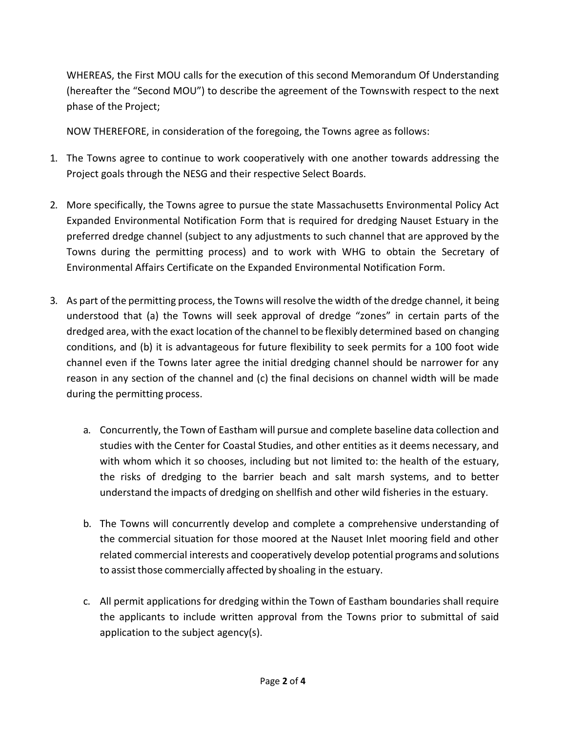WHEREAS, the First MOU calls for the execution of this second Memorandum Of Understanding (hereafter the "Second MOU") to describe the agreement of the Townswith respect to the next phase of the Project;

NOW THEREFORE, in consideration of the foregoing, the Towns agree as follows:

- 1. The Towns agree to continue to work cooperatively with one another towards addressing the Project goals through the NESG and their respective Select Boards.
- 2. More specifically, the Towns agree to pursue the state Massachusetts Environmental Policy Act Expanded Environmental Notification Form that is required for dredging Nauset Estuary in the preferred dredge channel (subject to any adjustments to such channel that are approved by the Towns during the permitting process) and to work with WHG to obtain the Secretary of Environmental Affairs Certificate on the Expanded Environmental Notification Form.
- 3. As part of the permitting process, the Towns will resolve the width of the dredge channel, it being understood that (a) the Towns will seek approval of dredge "zones" in certain parts of the dredged area, with the exact location of the channel to be flexibly determined based on changing conditions, and (b) it is advantageous for future flexibility to seek permits for a 100 foot wide channel even if the Towns later agree the initial dredging channel should be narrower for any reason in any section of the channel and (c) the final decisions on channel width will be made during the permitting process.
	- a. Concurrently, the Town of Eastham will pursue and complete baseline data collection and studies with the Center for Coastal Studies, and other entities as it deems necessary, and with whom which it so chooses, including but not limited to: the health of the estuary, the risks of dredging to the barrier beach and salt marsh systems, and to better understand the impacts of dredging on shellfish and other wild fisheries in the estuary.
	- b. The Towns will concurrently develop and complete a comprehensive understanding of the commercial situation for those moored at the Nauset Inlet mooring field and other related commercial interests and cooperatively develop potential programs and solutions to assist those commercially affected by shoaling in the estuary.
	- c. All permit applications for dredging within the Town of Eastham boundaries shall require the applicants to include written approval from the Towns prior to submittal of said application to the subject agency(s).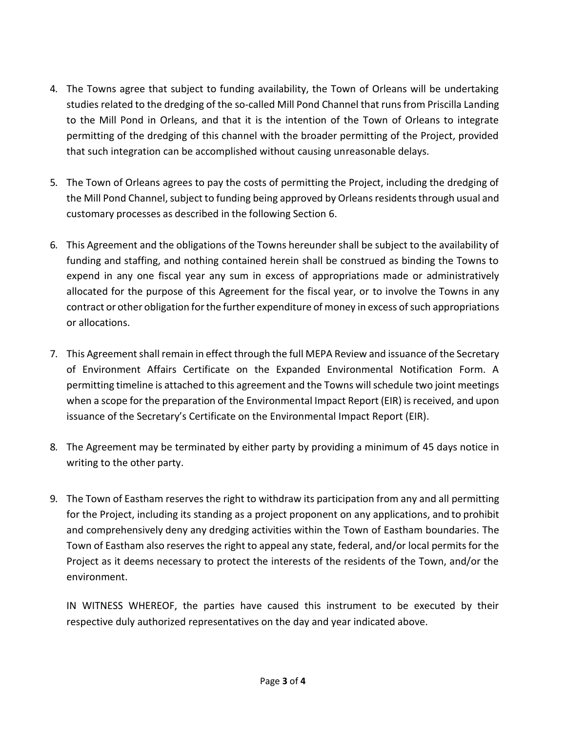- 4. The Towns agree that subject to funding availability, the Town of Orleans will be undertaking studies related to the dredging of the so-called Mill Pond Channel that runs from Priscilla Landing to the Mill Pond in Orleans, and that it is the intention of the Town of Orleans to integrate permitting of the dredging of this channel with the broader permitting of the Project, provided that such integration can be accomplished without causing unreasonable delays.
- 5. The Town of Orleans agrees to pay the costs of permitting the Project, including the dredging of the Mill Pond Channel, subject to funding being approved by Orleans residents through usual and customary processes as described in the following Section 6.
- 6. This Agreement and the obligations of the Towns hereunder shall be subject to the availability of funding and staffing, and nothing contained herein shall be construed as binding the Towns to expend in any one fiscal year any sum in excess of appropriations made or administratively allocated for the purpose of this Agreement for the fiscal year, or to involve the Towns in any contract or other obligation forthe further expenditure of money in excess of such appropriations or allocations.
- 7. This Agreement shall remain in effect through the full MEPA Review and issuance of the Secretary of Environment Affairs Certificate on the Expanded Environmental Notification Form. A permitting timeline is attached to this agreement and the Towns will schedule two joint meetings when a scope for the preparation of the Environmental Impact Report (EIR) is received, and upon issuance of the Secretary's Certificate on the Environmental Impact Report (EIR).
- 8. The Agreement may be terminated by either party by providing a minimum of 45 days notice in writing to the other party.
- 9. The Town of Eastham reserves the right to withdraw its participation from any and all permitting for the Project, including its standing as a project proponent on any applications, and to prohibit and comprehensively deny any dredging activities within the Town of Eastham boundaries. The Town of Eastham also reserves the right to appeal any state, federal, and/or local permits for the Project as it deems necessary to protect the interests of the residents of the Town, and/or the environment.

IN WITNESS WHEREOF, the parties have caused this instrument to be executed by their respective duly authorized representatives on the day and year indicated above.